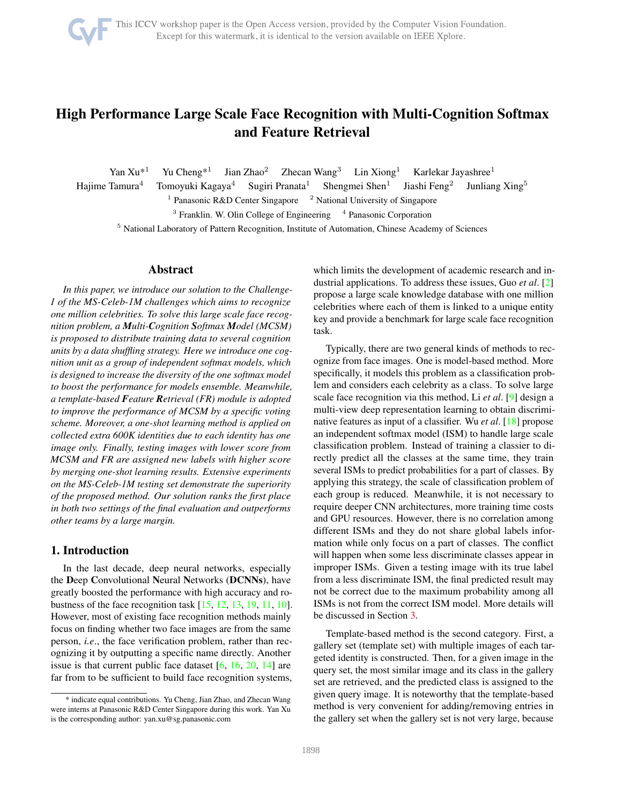# <span id="page-0-0"></span>High Performance Large Scale Face Recognition with Multi-Cognition Softmax and Feature Retrieval

Yan  $Xu^{*1}$  Yu Cheng<sup>\*1</sup> Jian Zhao<sup>2</sup> Zhecan Wang<sup>3</sup> Lin Xiong<sup>1</sup> Karlekar Jayashree<sup>1</sup>

Hajime Tamura<sup>4</sup> Tomoyuki Kagaya<sup>4</sup> Sugiri Pranata<sup>1</sup> Shengmei Shen<sup>1</sup> Jiashi Feng<sup>2</sup> Junliang Xing<sup>5</sup>

<sup>1</sup> Panasonic R&D Center Singapore  $\frac{2}$  National University of Singapore

<sup>3</sup> Franklin. W. Olin College of Engineering <sup>4</sup> Panasonic Corporation

<sup>5</sup> National Laboratory of Pattern Recognition, Institute of Automation, Chinese Academy of Sciences

# Abstract

*In this paper, we introduce our solution to the Challenge-1 of the MS-Celeb-1M challenges which aims to recognize one million celebrities. To solve this large scale face recognition problem, a Multi-Cognition Softmax Model (MCSM) is proposed to distribute training data to several cognition units by a data shuffling strategy. Here we introduce one cognition unit as a group of independent softmax models, which is designed to increase the diversity of the one softmax model to boost the performance for models ensemble. Meanwhile, a template-based Feature Retrieval (FR) module is adopted to improve the performance of MCSM by a specific voting scheme. Moreover, a one-shot learning method is applied on collected extra 600K identities due to each identity has one image only. Finally, testing images with lower score from MCSM and FR are assigned new labels with higher score by merging one-shot learning results. Extensive experiments on the MS-Celeb-1M testing set demonstrate the superiority of the proposed method. Our solution ranks the first place in both two settings of the final evaluation and outperforms other teams by a large margin.*

# 1. Introduction

In the last decade, deep neural networks, especially the Deep Convolutional Neural Networks (DCNNs), have greatly boosted the performance with high accuracy and robustness of the face recognition task [\[15,](#page-8-0) [12,](#page-8-1) [13,](#page-8-2) [19,](#page-8-3) [11,](#page-8-4) [10\]](#page-8-5). However, most of existing face recognition methods mainly focus on finding whether two face images are from the same person, *i.e*., the face verification problem, rather than recognizing it by outputting a specific name directly. Another issue is that current public face dataset  $[6, 16, 20, 14]$  $[6, 16, 20, 14]$  $[6, 16, 20, 14]$  $[6, 16, 20, 14]$  $[6, 16, 20, 14]$  $[6, 16, 20, 14]$  are far from to be sufficient to build face recognition systems, which limits the development of academic research and industrial applications. To address these issues, Guo *et al*. [\[2\]](#page-8-10) propose a large scale knowledge database with one million celebrities where each of them is linked to a unique entity key and provide a benchmark for large scale face recognition task.

Typically, there are two general kinds of methods to recognize from face images. One is model-based method. More specifically, it models this problem as a classification problem and considers each celebrity as a class. To solve large scale face recognition via this method, Li *et al*. [\[9\]](#page-8-11) design a multi-view deep representation learning to obtain discriminative features as input of a classifier. Wu *et al*. [\[18\]](#page-8-12) propose an independent softmax model (ISM) to handle large scale classification problem. Instead of training a classier to directly predict all the classes at the same time, they train several ISMs to predict probabilities for a part of classes. By applying this strategy, the scale of classification problem of each group is reduced. Meanwhile, it is not necessary to require deeper CNN architectures, more training time costs and GPU resources. However, there is no correlation among different ISMs and they do not share global labels information while only focus on a part of classes. The conflict will happen when some less discriminate classes appear in improper ISMs. Given a testing image with its true label from a less discriminate ISM, the final predicted result may not be correct due to the maximum probability among all ISMs is not from the correct ISM model. More details will be discussed in Section [3.](#page-3-0)

Template-based method is the second category. First, a gallery set (template set) with multiple images of each targeted identity is constructed. Then, for a given image in the query set, the most similar image and its class in the gallery set are retrieved, and the predicted class is assigned to the given query image. It is noteworthy that the template-based method is very convenient for adding/removing entries in the gallery set when the gallery set is not very large, because

<sup>\*</sup> indicate equal contributions. Yu Cheng, Jian Zhao, and Zhecan Wang were interns at Panasonic R&D Center Singapore during this work. Yan Xu is the corresponding author: yan.xu@sg.panasonic.com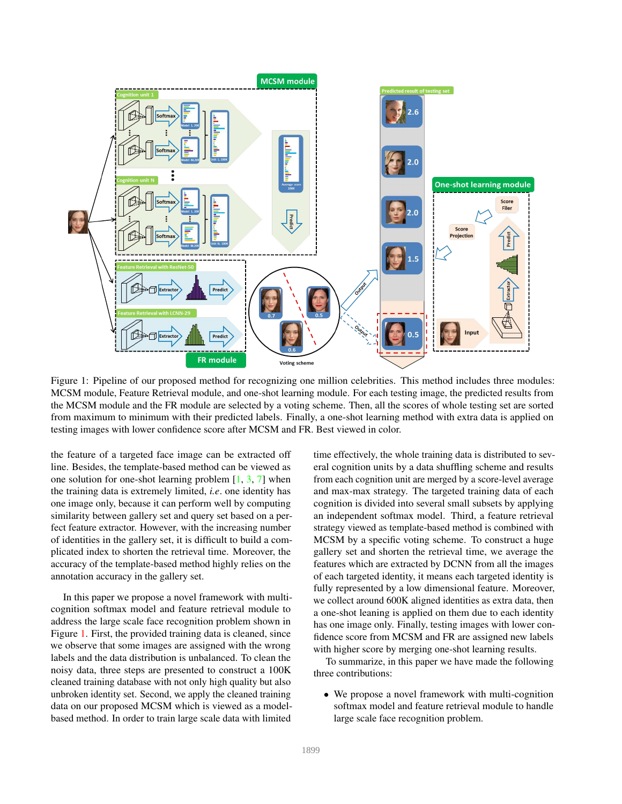<span id="page-1-0"></span>

Figure 1: Pipeline of our proposed method for recognizing one million celebrities. This method includes three modules: MCSM module, Feature Retrieval module, and one-shot learning module. For each testing image, the predicted results from the MCSM module and the FR module are selected by a voting scheme. Then, all the scores of whole testing set are sorted from maximum to minimum with their predicted labels. Finally, a one-shot learning method with extra data is applied on testing images with lower confidence score after MCSM and FR. Best viewed in color.

the feature of a targeted face image can be extracted off line. Besides, the template-based method can be viewed as one solution for one-shot learning problem  $[1, 3, 7]$  $[1, 3, 7]$  $[1, 3, 7]$  $[1, 3, 7]$  when the training data is extremely limited, *i.e*. one identity has one image only, because it can perform well by computing similarity between gallery set and query set based on a perfect feature extractor. However, with the increasing number of identities in the gallery set, it is difficult to build a complicated index to shorten the retrieval time. Moreover, the accuracy of the template-based method highly relies on the annotation accuracy in the gallery set.

In this paper we propose a novel framework with multicognition softmax model and feature retrieval module to address the large scale face recognition problem shown in Figure [1.](#page-1-0) First, the provided training data is cleaned, since we observe that some images are assigned with the wrong labels and the data distribution is unbalanced. To clean the noisy data, three steps are presented to construct a 100K cleaned training database with not only high quality but also unbroken identity set. Second, we apply the cleaned training data on our proposed MCSM which is viewed as a modelbased method. In order to train large scale data with limited

time effectively, the whole training data is distributed to several cognition units by a data shuffling scheme and results from each cognition unit are merged by a score-level average and max-max strategy. The targeted training data of each cognition is divided into several small subsets by applying an independent softmax model. Third, a feature retrieval strategy viewed as template-based method is combined with MCSM by a specific voting scheme. To construct a huge gallery set and shorten the retrieval time, we average the features which are extracted by DCNN from all the images of each targeted identity, it means each targeted identity is fully represented by a low dimensional feature. Moreover, we collect around 600K aligned identities as extra data, then a one-shot leaning is applied on them due to each identity has one image only. Finally, testing images with lower confidence score from MCSM and FR are assigned new labels with higher score by merging one-shot learning results.

To summarize, in this paper we have made the following three contributions:

• We propose a novel framework with multi-cognition softmax model and feature retrieval module to handle large scale face recognition problem.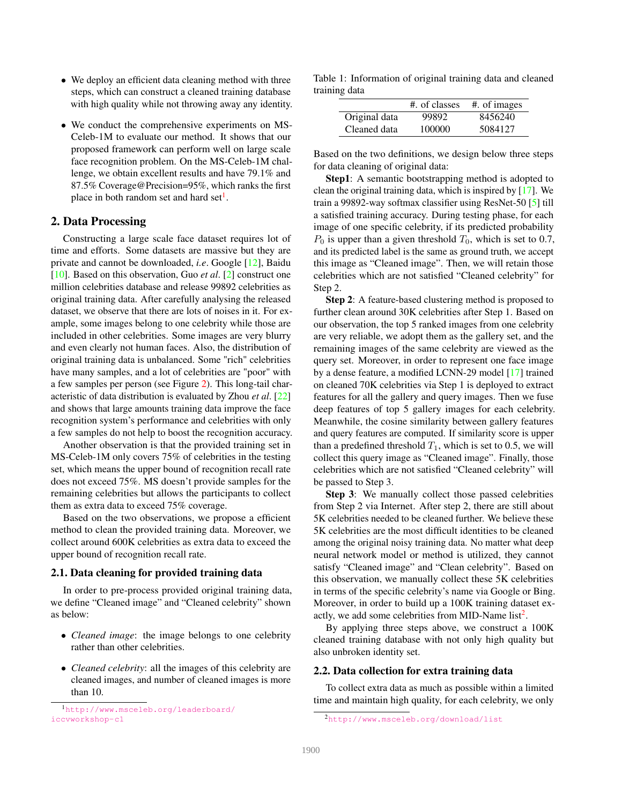- <span id="page-2-2"></span>• We deploy an efficient data cleaning method with three steps, which can construct a cleaned training database with high quality while not throwing away any identity.
- We conduct the comprehensive experiments on MS-Celeb-1M to evaluate our method. It shows that our proposed framework can perform well on large scale face recognition problem. On the MS-Celeb-1M challenge, we obtain excellent results and have 79.1% and 87.5% Coverage@Precision=95%, which ranks the first place in both random set and hard set<sup>[1](#page-2-0)</sup>.

## 2. Data Processing

Constructing a large scale face dataset requires lot of time and efforts. Some datasets are massive but they are private and cannot be downloaded, *i.e*. Google [\[12\]](#page-8-1), Baidu [\[10\]](#page-8-5). Based on this observation, Guo *et al*. [\[2\]](#page-8-10) construct one million celebrities database and release 99892 celebrities as original training data. After carefully analysing the released dataset, we observe that there are lots of noises in it. For example, some images belong to one celebrity while those are included in other celebrities. Some images are very blurry and even clearly not human faces. Also, the distribution of original training data is unbalanced. Some "rich" celebrities have many samples, and a lot of celebrities are "poor" with a few samples per person (see Figure [2\)](#page-3-1). This long-tail characteristic of data distribution is evaluated by Zhou *et al*. [\[22\]](#page-8-16) and shows that large amounts training data improve the face recognition system's performance and celebrities with only a few samples do not help to boost the recognition accuracy.

Another observation is that the provided training set in MS-Celeb-1M only covers 75% of celebrities in the testing set, which means the upper bound of recognition recall rate does not exceed 75%. MS doesn't provide samples for the remaining celebrities but allows the participants to collect them as extra data to exceed 75% coverage.

Based on the two observations, we propose a efficient method to clean the provided training data. Moreover, we collect around 600K celebrities as extra data to exceed the upper bound of recognition recall rate.

#### 2.1. Data cleaning for provided training data

In order to pre-process provided original training data, we define "Cleaned image" and "Cleaned celebrity" shown as below:

- *Cleaned image*: the image belongs to one celebrity rather than other celebrities.
- *Cleaned celebrity*: all the images of this celebrity are cleaned images, and number of cleaned images is more than 10.

<span id="page-2-0"></span><sup>1</sup>[http://www.msceleb.org/leaderboard/](http://www.msceleb.org/leaderboard/iccvworkshop-c1) [iccvworkshop-c1](http://www.msceleb.org/leaderboard/iccvworkshop-c1)

Table 1: Information of original training data and cleaned training data

|               | #. of classes | #. of images |
|---------------|---------------|--------------|
| Original data | 99892         | 8456240      |
| Cleaned data  | 100000        | 5084127      |

Based on the two definitions, we design below three steps for data cleaning of original data:

Step1: A semantic bootstrapping method is adopted to clean the original training data, which is inspired by [\[17\]](#page-8-17). We train a 99892-way softmax classifier using ResNet-50 [\[5\]](#page-8-18) till a satisfied training accuracy. During testing phase, for each image of one specific celebrity, if its predicted probability  $P_0$  is upper than a given threshold  $T_0$ , which is set to 0.7, and its predicted label is the same as ground truth, we accept this image as "Cleaned image". Then, we will retain those celebrities which are not satisfied "Cleaned celebrity" for Step 2.

Step 2: A feature-based clustering method is proposed to further clean around 30K celebrities after Step 1. Based on our observation, the top 5 ranked images from one celebrity are very reliable, we adopt them as the gallery set, and the remaining images of the same celebrity are viewed as the query set. Moreover, in order to represent one face image by a dense feature, a modified LCNN-29 model [\[17\]](#page-8-17) trained on cleaned 70K celebrities via Step 1 is deployed to extract features for all the gallery and query images. Then we fuse deep features of top 5 gallery images for each celebrity. Meanwhile, the cosine similarity between gallery features and query features are computed. If similarity score is upper than a predefined threshold  $T_1$ , which is set to 0.5, we will collect this query image as "Cleaned image". Finally, those celebrities which are not satisfied "Cleaned celebrity" will be passed to Step 3.

Step 3: We manually collect those passed celebrities from Step 2 via Internet. After step 2, there are still about 5K celebrities needed to be cleaned further. We believe these 5K celebrities are the most difficult identities to be cleaned among the original noisy training data. No matter what deep neural network model or method is utilized, they cannot satisfy "Cleaned image" and "Clean celebrity". Based on this observation, we manually collect these 5K celebrities in terms of the specific celebrity's name via Google or Bing. Moreover, in order to build up a 100K training dataset exactly, we add some celebrities from MID-Name  $list^2$  $list^2$ .

By applying three steps above, we construct a 100K cleaned training database with not only high quality but also unbroken identity set.

## 2.2. Data collection for extra training data

To collect extra data as much as possible within a limited time and maintain high quality, for each celebrity, we only

<span id="page-2-1"></span><sup>2</sup><http://www.msceleb.org/download/list>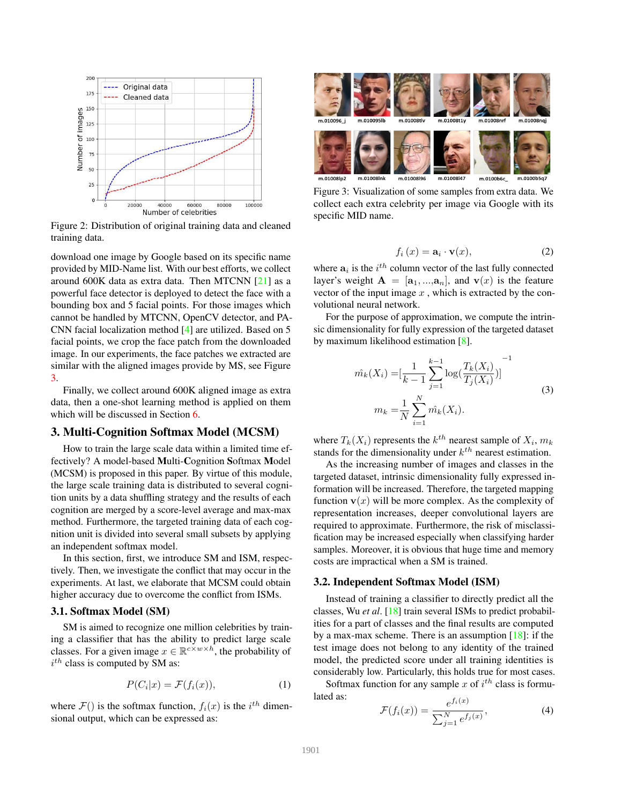<span id="page-3-3"></span><span id="page-3-1"></span>

Figure 2: Distribution of original training data and cleaned training data.

download one image by Google based on its specific name provided by MID-Name list. With our best efforts, we collect around 600K data as extra data. Then MTCNN [\[21\]](#page-8-19) as a powerful face detector is deployed to detect the face with a bounding box and 5 facial points. For those images which cannot be handled by MTCNN, OpenCV detector, and PA-CNN facial localization method [\[4\]](#page-8-20) are utilized. Based on 5 facial points, we crop the face patch from the downloaded image. In our experiments, the face patches we extracted are similar with the aligned images provide by MS, see Figure [3.](#page-3-2)

Finally, we collect around 600K aligned image as extra data, then a one-shot learning method is applied on them which will be discussed in Section [6.](#page-5-0)

## <span id="page-3-0"></span>3. Multi-Cognition Softmax Model (MCSM)

How to train the large scale data within a limited time effectively? A model-based Multi-Cognition Softmax Model (MCSM) is proposed in this paper. By virtue of this module, the large scale training data is distributed to several cognition units by a data shuffling strategy and the results of each cognition are merged by a score-level average and max-max method. Furthermore, the targeted training data of each cognition unit is divided into several small subsets by applying an independent softmax model.

In this section, first, we introduce SM and ISM, respectively. Then, we investigate the conflict that may occur in the experiments. At last, we elaborate that MCSM could obtain higher accuracy due to overcome the conflict from ISMs.

#### 3.1. Softmax Model (SM)

SM is aimed to recognize one million celebrities by training a classifier that has the ability to predict large scale classes. For a given image  $x \in \mathbb{R}^{c \times w \times h}$ , the probability of  $i^{th}$  class is computed by SM as:

$$
P(C_i|x) = \mathcal{F}(f_i(x)),\tag{1}
$$

where  $\mathcal{F}()$  is the softmax function,  $f_i(x)$  is the  $i^{th}$  dimensional output, which can be expressed as:

<span id="page-3-2"></span>

Figure 3: Visualization of some samples from extra data. We collect each extra celebrity per image via Google with its specific MID name.

$$
f_i(x) = \mathbf{a}_i \cdot \mathbf{v}(x),\tag{2}
$$

where  $a_i$  is the  $i^{th}$  column vector of the last fully connected layer's weight  $A = [a_1, ..., a_n]$ , and  $v(x)$  is the feature vector of the input image  $x$ , which is extracted by the convolutional neural network.

For the purpose of approximation, we compute the intrinsic dimensionality for fully expression of the targeted dataset by maximum likelihood estimation [\[8\]](#page-8-21).

$$
\hat{m_k}(X_i) = \left[\frac{1}{k-1} \sum_{j=1}^{k-1} \log\left(\frac{T_k(X_i)}{T_j(X_i)}\right)\right]^{-1}
$$
\n
$$
m_k = \frac{1}{N} \sum_{i=1}^{N} \hat{m_k}(X_i).
$$
\n(3)

where  $T_k(X_i)$  represents the  $k^{th}$  nearest sample of  $X_i$ ,  $m_k$ stands for the dimensionality under  $k^{th}$  nearest estimation.

As the increasing number of images and classes in the targeted dataset, intrinsic dimensionality fully expressed information will be increased. Therefore, the targeted mapping function  $\mathbf{v}(x)$  will be more complex. As the complexity of representation increases, deeper convolutional layers are required to approximate. Furthermore, the risk of misclassification may be increased especially when classifying harder samples. Moreover, it is obvious that huge time and memory costs are impractical when a SM is trained.

#### 3.2. Independent Softmax Model (ISM)

Instead of training a classifier to directly predict all the classes, Wu *et al*. [\[18\]](#page-8-12) train several ISMs to predict probabilities for a part of classes and the final results are computed by a max-max scheme. There is an assumption  $[18]$ : if the test image does not belong to any identity of the trained model, the predicted score under all training identities is considerably low. Particularly, this holds true for most cases.

Softmax function for any sample x of  $i^{th}$  class is formulated as:  $f(f_m)$ 

$$
\mathcal{F}(f_i(x)) = \frac{e^{f_i(x)}}{\sum_{j=1}^N e^{f_j(x)}},\tag{4}
$$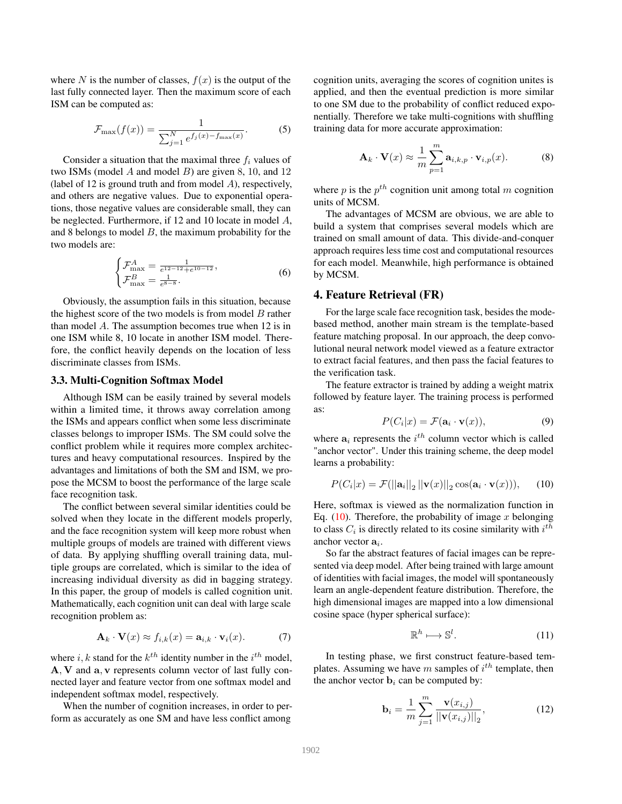where N is the number of classes,  $f(x)$  is the output of the last fully connected layer. Then the maximum score of each ISM can be computed as:

$$
\mathcal{F}_{\max}(f(x)) = \frac{1}{\sum_{j=1}^{N} e^{f_j(x) - f_{\max}(x)}}.
$$
 (5)

Consider a situation that the maximal three  $f_i$  values of two ISMs (model  $A$  and model  $B$ ) are given 8, 10, and 12 (label of 12 is ground truth and from model  $A$ ), respectively, and others are negative values. Due to exponential operations, those negative values are considerable small, they can be neglected. Furthermore, if 12 and 10 locate in model A, and 8 belongs to model  $B$ , the maximum probability for the two models are:

$$
\begin{cases}\n\mathcal{F}_{\text{max}}^A = \frac{1}{e^{12-12} + e^{10-12}},\\ \n\mathcal{F}_{\text{max}}^B = \frac{1}{e^{8-8}}.\n\end{cases}
$$
\n(6)

Obviously, the assumption fails in this situation, because the highest score of the two models is from model  $B$  rather than model A. The assumption becomes true when 12 is in one ISM while 8, 10 locate in another ISM model. Therefore, the conflict heavily depends on the location of less discriminate classes from ISMs.

#### 3.3. Multi-Cognition Softmax Model

Although ISM can be easily trained by several models within a limited time, it throws away correlation among the ISMs and appears conflict when some less discriminate classes belongs to improper ISMs. The SM could solve the conflict problem while it requires more complex architectures and heavy computational resources. Inspired by the advantages and limitations of both the SM and ISM, we propose the MCSM to boost the performance of the large scale face recognition task.

The conflict between several similar identities could be solved when they locate in the different models properly, and the face recognition system will keep more robust when multiple groups of models are trained with different views of data. By applying shuffling overall training data, multiple groups are correlated, which is similar to the idea of increasing individual diversity as did in bagging strategy. In this paper, the group of models is called cognition unit. Mathematically, each cognition unit can deal with large scale recognition problem as:

$$
\mathbf{A}_k \cdot \mathbf{V}(x) \approx f_{i,k}(x) = \mathbf{a}_{i,k} \cdot \mathbf{v}_i(x). \tag{7}
$$

where i, k stand for the  $k^{th}$  identity number in the  $i^{th}$  model, A, V and a, v represents column vector of last fully connected layer and feature vector from one softmax model and independent softmax model, respectively.

When the number of cognition increases, in order to perform as accurately as one SM and have less conflict among

cognition units, averaging the scores of cognition unites is applied, and then the eventual prediction is more similar to one SM due to the probability of conflict reduced exponentially. Therefore we take multi-cognitions with shuffling training data for more accurate approximation:

$$
\mathbf{A}_{k} \cdot \mathbf{V}(x) \approx \frac{1}{m} \sum_{p=1}^{m} \mathbf{a}_{i,k,p} \cdot \mathbf{v}_{i,p}(x).
$$
 (8)

where  $p$  is the  $p^{th}$  cognition unit among total  $m$  cognition units of MCSM.

The advantages of MCSM are obvious, we are able to build a system that comprises several models which are trained on small amount of data. This divide-and-conquer approach requires less time cost and computational resources for each model. Meanwhile, high performance is obtained by MCSM.

## 4. Feature Retrieval (FR)

For the large scale face recognition task, besides the modebased method, another main stream is the template-based feature matching proposal. In our approach, the deep convolutional neural network model viewed as a feature extractor to extract facial features, and then pass the facial features to the verification task.

The feature extractor is trained by adding a weight matrix followed by feature layer. The training process is performed as:

$$
P(C_i|x) = \mathcal{F}(\mathbf{a}_i \cdot \mathbf{v}(x)),\tag{9}
$$

where  $a_i$  represents the  $i^{th}$  column vector which is called "anchor vector". Under this training scheme, the deep model learns a probability:

<span id="page-4-0"></span>
$$
P(C_i|x) = \mathcal{F}(||\mathbf{a}_i||_2 ||\mathbf{v}(x)||_2 \cos(\mathbf{a}_i \cdot \mathbf{v}(x))), \qquad (10)
$$

Here, softmax is viewed as the normalization function in Eq. [\(10\)](#page-4-0). Therefore, the probability of image x belonging to class  $C_i$  is directly related to its cosine similarity with  $i^{th}$ anchor vector  $a_i$ .

So far the abstract features of facial images can be represented via deep model. After being trained with large amount of identities with facial images, the model will spontaneously learn an angle-dependent feature distribution. Therefore, the high dimensional images are mapped into a low dimensional cosine space (hyper spherical surface):

$$
\mathbb{R}^h \longmapsto \mathbb{S}^l. \tag{11}
$$

In testing phase, we first construct feature-based templates. Assuming we have m samples of  $i^{th}$  template, then the anchor vector  $\mathbf{b}_i$  can be computed by:

$$
\mathbf{b}_{i} = \frac{1}{m} \sum_{j=1}^{m} \frac{\mathbf{v}(x_{i,j})}{||\mathbf{v}(x_{i,j})||_{2}},
$$
(12)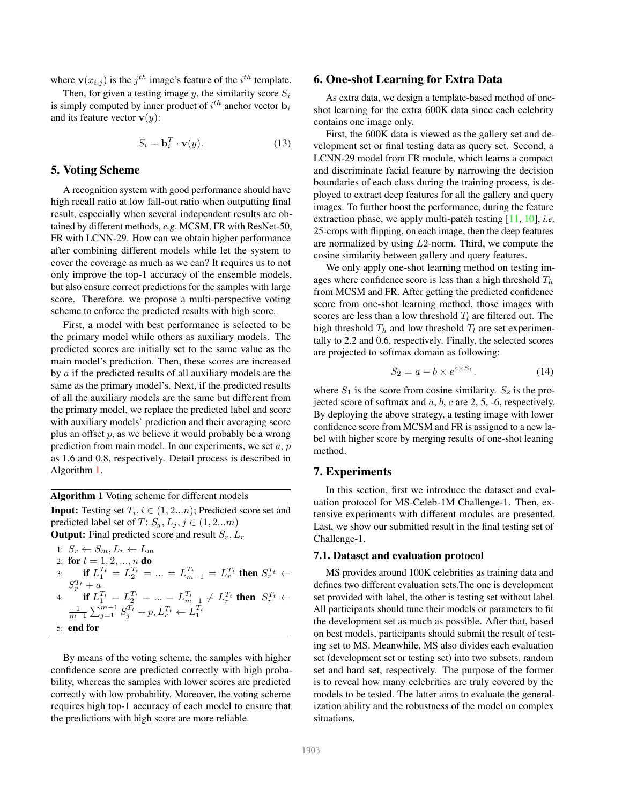<span id="page-5-2"></span>where  $\mathbf{v}(x_{i,j})$  is the  $j^{th}$  image's feature of the  $i^{th}$  template.

Then, for given a testing image y, the similarity score  $S_i$ is simply computed by inner product of  $i^{th}$  anchor vector  $\mathbf{b}_i$ and its feature vector  $\mathbf{v}(y)$ :

$$
S_i = \mathbf{b}_i^T \cdot \mathbf{v}(y). \tag{13}
$$

## 5. Voting Scheme

A recognition system with good performance should have high recall ratio at low fall-out ratio when outputting final result, especially when several independent results are obtained by different methods, *e.g*. MCSM, FR with ResNet-50, FR with LCNN-29. How can we obtain higher performance after combining different models while let the system to cover the coverage as much as we can? It requires us to not only improve the top-1 accuracy of the ensemble models, but also ensure correct predictions for the samples with large score. Therefore, we propose a multi-perspective voting scheme to enforce the predicted results with high score.

First, a model with best performance is selected to be the primary model while others as auxiliary models. The predicted scores are initially set to the same value as the main model's prediction. Then, these scores are increased by a if the predicted results of all auxiliary models are the same as the primary model's. Next, if the predicted results of all the auxiliary models are the same but different from the primary model, we replace the predicted label and score with auxiliary models' prediction and their averaging score plus an offset  $p$ , as we believe it would probably be a wrong prediction from main model. In our experiments, we set  $a, p$ as 1.6 and 0.8, respectively. Detail process is described in Algorithm [1.](#page-5-1)

<span id="page-5-1"></span>Algorithm 1 Voting scheme for different models **Input:** Testing set  $T_i$ ,  $i \in (1, 2...n)$ ; Predicted score set and predicted label set of  $T: S_j, L_j, j \in (1, 2...m)$ **Output:** Final predicted score and result  $S_r$ ,  $L_r$ 

1: 
$$
S_r \leftarrow S_m, L_r \leftarrow L_m
$$
  
\n2: **for**  $t = 1, 2, ..., n$  **do**  
\n3: **if**  $L_1^{T_t} = L_2^{T_t} = ... = L_{m-1}^{T_t} = L_r^{T_t}$  **then**  $S_r^{T_t} \leftarrow$   
\n $S_r^{T_t} + a$   
\n4: **if**  $L_1^{T_t} = L_2^{T_t} = ... = L_{m-1}^{T_t} \neq L_r^{T_t}$  **then**  $S_r^{T_t} \leftarrow$   
\n $\frac{1}{m-1} \sum_{j=1}^{m-1} S_j^{T_t} + p, L_r^{T_t} \leftarrow L_1^{T_t}$   
\n5: **end for**

By means of the voting scheme, the samples with higher confidence score are predicted correctly with high probability, whereas the samples with lower scores are predicted correctly with low probability. Moreover, the voting scheme requires high top-1 accuracy of each model to ensure that the predictions with high score are more reliable.

## <span id="page-5-0"></span>6. One-shot Learning for Extra Data

As extra data, we design a template-based method of oneshot learning for the extra 600K data since each celebrity contains one image only.

First, the 600K data is viewed as the gallery set and development set or final testing data as query set. Second, a LCNN-29 model from FR module, which learns a compact and discriminate facial feature by narrowing the decision boundaries of each class during the training process, is deployed to extract deep features for all the gallery and query images. To further boost the performance, during the feature extraction phase, we apply multi-patch testing [\[11,](#page-8-4) [10\]](#page-8-5), *i.e*. 25-crops with flipping, on each image, then the deep features are normalized by using L2-norm. Third, we compute the cosine similarity between gallery and query features.

We only apply one-shot learning method on testing images where confidence score is less than a high threshold  $T_h$ from MCSM and FR. After getting the predicted confidence score from one-shot learning method, those images with scores are less than a low threshold  $T_l$  are filtered out. The high threshold  $T_h$  and low threshold  $T_l$  are set experimentally to 2.2 and 0.6, respectively. Finally, the selected scores are projected to softmax domain as following:

$$
S_2 = a - b \times e^{c \times S_1}.\tag{14}
$$

where  $S_1$  is the score from cosine similarity.  $S_2$  is the projected score of softmax and  $a, b, c$  are 2, 5, -6, respectively. By deploying the above strategy, a testing image with lower confidence score from MCSM and FR is assigned to a new label with higher score by merging results of one-shot leaning method.

## 7. Experiments

In this section, first we introduce the dataset and evaluation protocol for MS-Celeb-1M Challenge-1. Then, extensive experiments with different modules are presented. Last, we show our submitted result in the final testing set of Challenge-1.

#### 7.1. Dataset and evaluation protocol

MS provides around 100K celebrities as training data and defines two different evaluation sets.The one is development set provided with label, the other is testing set without label. All participants should tune their models or parameters to fit the development set as much as possible. After that, based on best models, participants should submit the result of testing set to MS. Meanwhile, MS also divides each evaluation set (development set or testing set) into two subsets, random set and hard set, respectively. The purpose of the former is to reveal how many celebrities are truly covered by the models to be tested. The latter aims to evaluate the generalization ability and the robustness of the model on complex situations.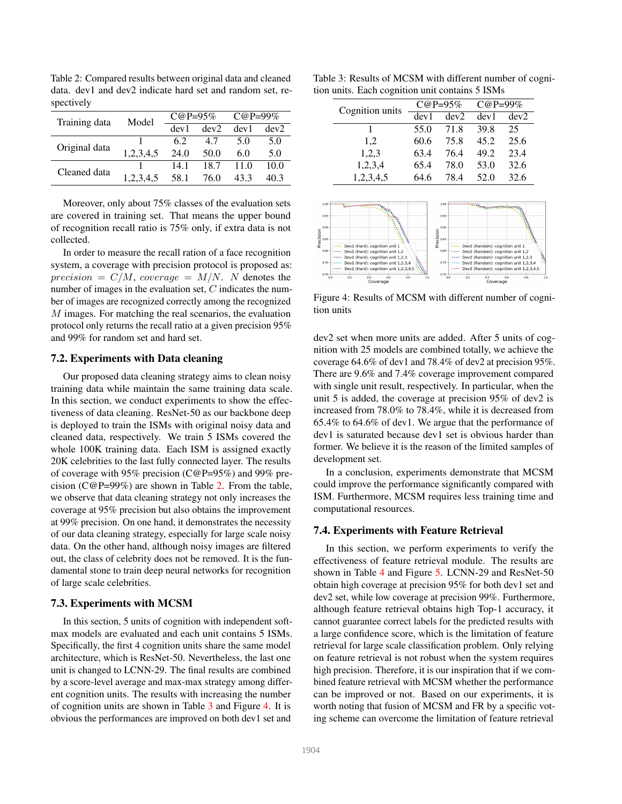<span id="page-6-0"></span>Table 2: Compared results between original data and cleaned data. dev1 and dev2 indicate hard set and random set, respectively

| Training data | Model     | $C@P=95%$ |      | $C@P=99\%$ |      |
|---------------|-----------|-----------|------|------------|------|
|               |           | dev1      | dev2 | dev1       | dev2 |
| Original data |           | 6.2       | 47   | 5.0        | 5.0  |
|               | 1,2,3,4,5 | 24.0      | 50.0 | 6.0        | 5.0  |
| Cleaned data  |           | 14.1      | 18.7 | 11.0       | 10.0 |
|               | 1,2,3,4,5 | 58.1      | 76.0 | 43.3       | 40 3 |

Moreover, only about 75% classes of the evaluation sets are covered in training set. That means the upper bound of recognition recall ratio is 75% only, if extra data is not collected.

In order to measure the recall ration of a face recognition system, a coverage with precision protocol is proposed as:  $precision = C/M$ , coverage =  $M/N$ . N denotes the number of images in the evaluation set, C indicates the number of images are recognized correctly among the recognized M images. For matching the real scenarios, the evaluation protocol only returns the recall ratio at a given precision 95% and 99% for random set and hard set.

## 7.2. Experiments with Data cleaning

Our proposed data cleaning strategy aims to clean noisy training data while maintain the same training data scale. In this section, we conduct experiments to show the effectiveness of data cleaning. ResNet-50 as our backbone deep is deployed to train the ISMs with original noisy data and cleaned data, respectively. We train 5 ISMs covered the whole 100K training data. Each ISM is assigned exactly 20K celebrities to the last fully connected layer. The results of coverage with 95% precision (C@P=95%) and 99% pre-cision (C@P=99%) are shown in Table [2.](#page-6-0) From the table, we observe that data cleaning strategy not only increases the coverage at 95% precision but also obtains the improvement at 99% precision. On one hand, it demonstrates the necessity of our data cleaning strategy, especially for large scale noisy data. On the other hand, although noisy images are filtered out, the class of celebrity does not be removed. It is the fundamental stone to train deep neural networks for recognition of large scale celebrities.

## 7.3. Experiments with MCSM

In this section, 5 units of cognition with independent softmax models are evaluated and each unit contains 5 ISMs. Specifically, the first 4 cognition units share the same model architecture, which is ResNet-50. Nevertheless, the last one unit is changed to LCNN-29. The final results are combined by a score-level average and max-max strategy among different cognition units. The results with increasing the number of cognition units are shown in Table [3](#page-6-1) and Figure [4.](#page-6-2) It is obvious the performances are improved on both dev1 set and

<span id="page-6-1"></span>Table 3: Results of MCSM with different number of cognition units. Each cognition unit contains 5 ISMs

| Cognition units | $C@P=95%$ |      | $C@P=99%$ |      |
|-----------------|-----------|------|-----------|------|
|                 | dev1      | dev2 | dev1      | dev2 |
|                 | 55.0      | 71.8 | 39.8      | 25   |
| 1.2             | 60.6      | 75.8 | 45.2      | 25.6 |
| 1,2,3           | 63.4      | 76.4 | 49.2      | 23.4 |
| 1,2,3,4         | 65.4      | 78.0 | 53.0      | 32.6 |
| 1,2,3,4,5       | 64.6      | 784  | 52.0      | 32.6 |

<span id="page-6-2"></span>

Figure 4: Results of MCSM with different number of cognition units

dev2 set when more units are added. After 5 units of cognition with 25 models are combined totally, we achieve the coverage 64.6% of dev1 and 78.4% of dev2 at precision 95%. There are 9.6% and 7.4% coverage improvement compared with single unit result, respectively. In particular, when the unit 5 is added, the coverage at precision 95% of dev2 is increased from 78.0% to 78.4%, while it is decreased from 65.4% to 64.6% of dev1. We argue that the performance of dev1 is saturated because dev1 set is obvious harder than former. We believe it is the reason of the limited samples of development set.

In a conclusion, experiments demonstrate that MCSM could improve the performance significantly compared with ISM. Furthermore, MCSM requires less training time and computational resources.

### 7.4. Experiments with Feature Retrieval

In this section, we perform experiments to verify the effectiveness of feature retrieval module. The results are shown in Table [4](#page-7-0) and Figure [5.](#page-7-1) LCNN-29 and ResNet-50 obtain high coverage at precision 95% for both dev1 set and dev2 set, while low coverage at precision 99%. Furthermore, although feature retrieval obtains high Top-1 accuracy, it cannot guarantee correct labels for the predicted results with a large confidence score, which is the limitation of feature retrieval for large scale classification problem. Only relying on feature retrieval is not robust when the system requires high precision. Therefore, it is our inspiration that if we combined feature retrieval with MCSM whether the performance can be improved or not. Based on our experiments, it is worth noting that fusion of MCSM and FR by a specific voting scheme can overcome the limitation of feature retrieval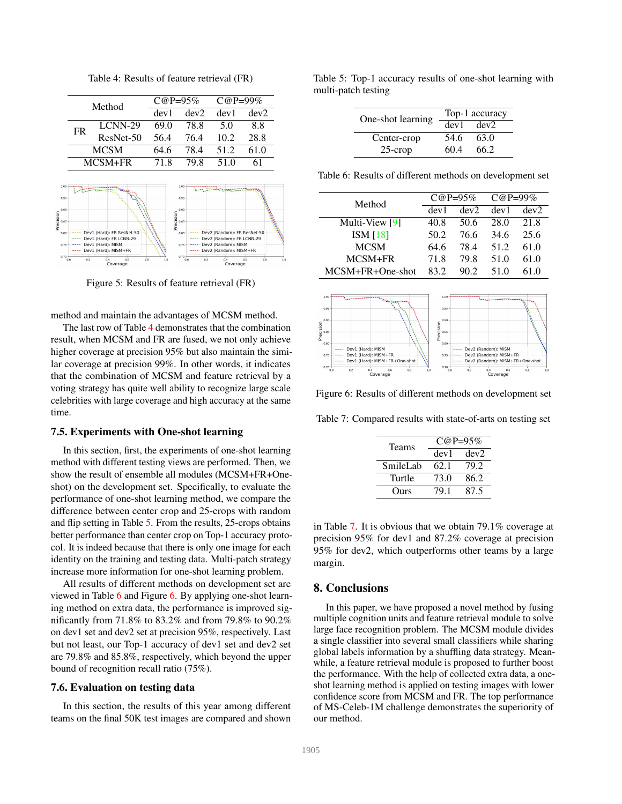Table 4: Results of feature retrieval (FR)

<span id="page-7-6"></span><span id="page-7-1"></span><span id="page-7-0"></span>

Figure 5: Results of feature retrieval (FR)

method and maintain the advantages of MCSM method.

The last row of Table [4](#page-7-0) demonstrates that the combination result, when MCSM and FR are fused, we not only achieve higher coverage at precision 95% but also maintain the similar coverage at precision 99%. In other words, it indicates that the combination of MCSM and feature retrieval by a voting strategy has quite well ability to recognize large scale celebrities with large coverage and high accuracy at the same time.

#### 7.5. Experiments with One-shot learning

In this section, first, the experiments of one-shot learning method with different testing views are performed. Then, we show the result of ensemble all modules (MCSM+FR+Oneshot) on the development set. Specifically, to evaluate the performance of one-shot learning method, we compare the difference between center crop and 25-crops with random and flip setting in Table [5.](#page-7-2) From the results, 25-crops obtains better performance than center crop on Top-1 accuracy protocol. It is indeed because that there is only one image for each identity on the training and testing data. Multi-patch strategy increase more information for one-shot learning problem.

All results of different methods on development set are viewed in Table [6](#page-7-3) and Figure [6.](#page-7-4) By applying one-shot learning method on extra data, the performance is improved significantly from 71.8% to 83.2% and from 79.8% to 90.2% on dev1 set and dev2 set at precision 95%, respectively. Last but not least, our Top-1 accuracy of dev1 set and dev2 set are 79.8% and 85.8%, respectively, which beyond the upper bound of recognition recall ratio (75%).

#### 7.6. Evaluation on testing data

In this section, the results of this year among different teams on the final 50K test images are compared and shown

<span id="page-7-2"></span>Table 5: Top-1 accuracy results of one-shot learning with multi-patch testing

| One-shot learning | Top-1 accuracy |      |  |
|-------------------|----------------|------|--|
|                   | dev1           | dev2 |  |
| Center-crop       | 54.6           | 63.0 |  |
| $25$ -crop        | 60.4           | 66.2 |  |

<span id="page-7-3"></span>Table 6: Results of different methods on development set

| Method           | $C@P=95%$ |      | $C@P=99%$ |      |
|------------------|-----------|------|-----------|------|
|                  | dev1      | dev2 | dev1      | dev2 |
| Multi-View [9]   | 40.8      | 50.6 | 28.0      | 21.8 |
| ISM [18]         | 50.2      | 76.6 | 34.6      | 25.6 |
| <b>MCSM</b>      | 64.6      | 78.4 | 51.2      | 61.0 |
| MCSM+FR          | 71.8      | 79.8 | 51.0      | 61.0 |
| MCSM+FR+One-shot | 83 2      | 90.2 | 51 0      | 61 O |

<span id="page-7-4"></span>

Figure 6: Results of different methods on development set

<span id="page-7-5"></span>Table 7: Compared results with state-of-arts on testing set

| <b>Teams</b> | $C@P=95%$ |      |  |  |
|--------------|-----------|------|--|--|
|              | dev1      | dev2 |  |  |
| SmileLab     | 62.1      | 79.2 |  |  |
| Turtle       | 73.0      | 86.2 |  |  |
| Ours         | 79.1      | 87.5 |  |  |

in Table [7.](#page-7-5) It is obvious that we obtain 79.1% coverage at precision 95% for dev1 and 87.2% coverage at precision 95% for dev2, which outperforms other teams by a large margin.

## 8. Conclusions

In this paper, we have proposed a novel method by fusing multiple cognition units and feature retrieval module to solve large face recognition problem. The MCSM module divides a single classifier into several small classifiers while sharing global labels information by a shuffling data strategy. Meanwhile, a feature retrieval module is proposed to further boost the performance. With the help of collected extra data, a oneshot learning method is applied on testing images with lower confidence score from MCSM and FR. The top performance of MS-Celeb-1M challenge demonstrates the superiority of our method.